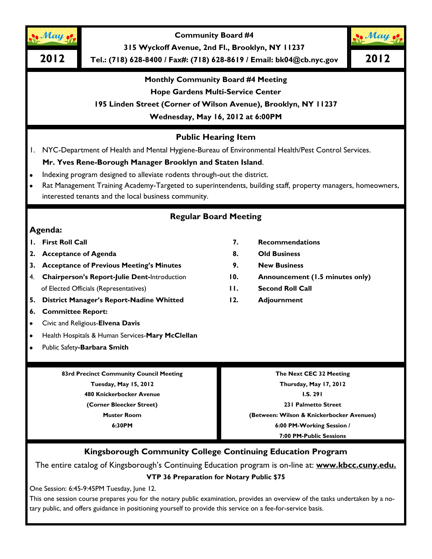

**Community Board #4**

**315 Wyckoff Avenue, 2nd Fl., Brooklyn, NY 11237**

**2012 2012 Tel.: (718) 628-8400 / Fax#: (718) 628-8619 / Email: bk04@cb.nyc.gov**

May

**Monthly Community Board #4 Meeting**

**Hope Gardens Multi-Service Center**

**195 Linden Street (Corner of Wilson Avenue), Brooklyn, NY 11237**

**Wednesday, May 16, 2012 at 6:00PM**

## **Public Hearing Item**

1. NYC-Department of Health and Mental Hygiene-Bureau of Environmental Health/Pest Control Services.

## **Mr. Yves Rene-Borough Manager Brooklyn and Staten Island**.

- Indexing program designed to alleviate rodents through-out the district.  $\bullet$
- Rat Management Training Academy-Targeted to superintendents, building staff, property managers, homeowners, interested tenants and the local business community.

## **Regular Board Meeting**

## **Agenda:**

- **2. Acceptance of Agenda 8. Old Business**
- **3. Acceptance of Previous Meeting's Minutes 9. New Business**
- 4. **Chairperson's Report-Julie Dent-**Introduction **10. Announcement (1.5 minutes only)** of Elected Officials (Representatives) **11. Second Roll Call**
- **5. District Manager's Report-Nadine Whitted 12. Adjournment**
- **6. Committee Report:**
- Civic and Religious-**Elvena Davis**  $\bullet$
- Health Hospitals & Human Services-**Mary McClellan**
- Public Safety**-Barbara Smith**

**83rd Precinct Community Council Meeting Tuesday, May 15, 2012 480 Knickerbocker Avenue (Corner Bleecker Street) Muster Room 6:30PM**

**1. First Roll Call 7. Recommendations**

- 
- 
- 
- 
- 

**The Next CEC 32 Meeting Thursday, May 17, 2012 I.S. 291 231 Palmetto Street (Between: Wilson & Knickerbocker Avenues) 6:00 PM-Working Session / 7:00 PM-Public Sessions**

## **Kingsborough Community College Continuing Education Program**

The entire catalog of Kingsborough's Continuing Education program is on-line at: **www.kbcc.cuny.edu. VTP 36 Preparation for Notary Public \$75**

One Session: 6:45-9:45PM Tuesday, June 12.

This one session course prepares you for the notary public examination, provides an overview of the tasks undertaken by a notary public, and offers guidance in positioning yourself to provide this service on a fee-for-service basis.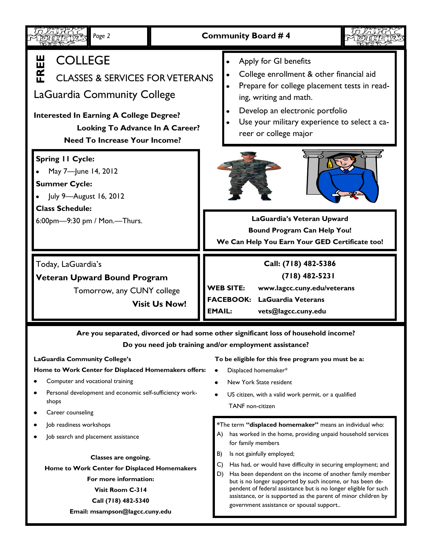| Page 2                                                                                                                                                                                                                                                                                                                                                                                                                |                      | <b>Community Board #4</b>                                                                                                                                                                                                                               |  |
|-----------------------------------------------------------------------------------------------------------------------------------------------------------------------------------------------------------------------------------------------------------------------------------------------------------------------------------------------------------------------------------------------------------------------|----------------------|---------------------------------------------------------------------------------------------------------------------------------------------------------------------------------------------------------------------------------------------------------|--|
| <b>COLLEGE</b><br><b>CLASSES &amp; SERVICES FOR VETERANS</b><br>LaGuardia Community College<br><b>Interested In Earning A College Degree?</b><br>Looking To Advance In A Career?<br><b>Need To Increase Your Income?</b>                                                                                                                                                                                              |                      | Apply for GI benefits<br>College enrollment & other financial aid<br>Prepare for college placement tests in read-<br>ing, writing and math.<br>Develop an electronic portfolio<br>Use your military experience to select a ca-<br>reer or college major |  |
| <b>Spring II Cycle:</b><br>May 7-June 14, 2012<br><b>Summer Cycle:</b><br>July 9-August 16, 2012<br><b>Class Schedule:</b><br>6:00pm-9:30 pm / Mon.-Thurs.                                                                                                                                                                                                                                                            |                      | LaGuardia's Veteran Upward<br><b>Bound Program Can Help You!</b><br>We Can Help You Earn Your GED Certificate too!                                                                                                                                      |  |
| Today, LaGuardia's<br><b>Veteran Upward Bound Program</b><br>Tomorrow, any CUNY college                                                                                                                                                                                                                                                                                                                               | <b>Visit Us Now!</b> | Call: (718) 482-5386<br>$(718)$ 482-5231<br><b>WEB SITE:</b><br>www.lagcc.cuny.edu/veterans<br><b>FACEBOOK:</b><br>LaGuardia Veterans<br><b>EMAIL:</b><br>vets@lagcc.cuny.edu                                                                           |  |
| Are you separated, divorced or had some other significant loss of household income?<br>Do you need job training and/or employment assistance?                                                                                                                                                                                                                                                                         |                      |                                                                                                                                                                                                                                                         |  |
| LaGuardia Community College's<br>To be eligible for this free program you must be a:<br>Home to Work Center for Displaced Homemakers offers:<br>Displaced homemaker*<br>Computer and vocational training<br>New York State resident<br>Personal development and economic self-sufficiency work-<br>US citizen, with a valid work permit, or a qualified<br>٠<br>shops<br><b>TANF</b> non-citizen<br>Career counseling |                      |                                                                                                                                                                                                                                                         |  |
| Job readiness workshops<br>A).<br>Job search and placement assistance<br>for family members<br>Is not gainfully employed;<br>B)<br>Classes are ongoing.<br>C)<br>Home to Work Center for Displaced Homemakers<br>Has been dependent on the income of another family member<br>D)<br>For more information:<br>Visit Room C-314<br>$(710)$ $(02.52)$                                                                    |                      | *The term "displaced homemaker" means an individual who:<br>has worked in the home, providing unpaid household services<br>Has had, or would have difficulty in securing employment; and                                                                |  |
|                                                                                                                                                                                                                                                                                                                                                                                                                       |                      | but is no longer supported by such income, or has been de-<br>pendent of federal assistance but is no longer eligible for such<br>assistance, or is supported as the parent of minor children by                                                        |  |

government assistance or spousal support..

**Call (718) 482-5340**

**Email: msampson@lagcc.cuny.edu**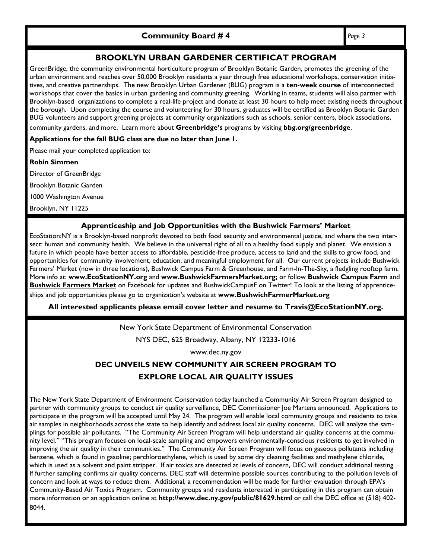**Community Board # 4**

### **BROOKLYN URBAN GARDENER CERTIFICAT PROGRAM**

GreenBridge, the community environmental horticulture program of Brooklyn Botanic Garden, promotes the greening of the urban environment and reaches over 50,000 Brooklyn residents a year through free educational workshops, conservation initiatives, and creative partnerships. The new Brooklyn Urban Gardener (BUG) program is a **ten-week course** of interconnected workshops that cover the basics in urban gardening and community greening. Working in teams, students will also partner with Brooklyn-based organizations to complete a real-life project and donate at least 30 hours to help meet existing needs throughout the borough. Upon completing the course and volunteering for 30 hours, graduates will be certified as Brooklyn Botanic Garden BUG volunteers and support greening projects at community organizations such as schools, senior centers, block associations, community gardens, and more. Learn more about **Greenbridge's** programs by visiting **bbg.org/greenbridge**.

**Applications for the fall BUG class are due no later than June 1.**

Please mail your completed application to:

**Robin Simmen**

Director of GreenBridge

Brooklyn Botanic Garden

1000 Washington Avenue

Brooklyn, NY 11225

#### **Apprenticeship and Job Opportunities with the Bushwick Farmers' Market**

EcoStation:NY is a Brooklyn-based nonprofit devoted to both food security and environmental justice, and where the two intersect: human and community health. We believe in the universal right of all to a healthy food supply and planet. We envision a future in which people have better access to affordable, pesticide-free produce, access to land and the skills to grow food, and opportunities for community involvement, education, and meaningful employment for all. Our current projects include Bushwick Farmers' Market (now in three locations), Bushwick Campus Farm & Greenhouse, and Farm-In-The-Sky, a fledgling rooftop farm. More info at: **www.EcoStationNY.org** and **www.BushwickFarmersMarket.org;** or follow **Bushwick Campus Farm** and **Bushwick Farmers Market** on Facebook for updates and BushwickCampusF on Twitter! To look at the listing of apprentice-

ships and job opportunities please go to organization's website at **www.BushwichFarmerMarket.org**

**All interested applicants please email cover letter and resume to Travis@EcoStationNY.org.**

New York State Department of Environmental Conservation

NYS DEC, 625 Broadway, Albany, NY 12233-1016

www.dec.ny.gov

# **DEC UNVEILS NEW COMMUNITY AIR SCREEN PROGRAM TO**

## **EXPLORE LOCAL AIR QUALITY ISSUES**

The New York State Department of Environment Conservation today launched a Community Air Screen Program designed to partner with community groups to conduct air quality surveillance, DEC Commissioner Joe Martens announced. Applications to participate in the program will be accepted until May 24. The program will enable local community groups and residents to take air samples in neighborhoods across the state to help identify and address local air quality concerns. DEC will analyze the samplings for possible air pollutants. "The Community Air Screen Program will help understand air quality concerns at the community level." "This program focuses on local-scale sampling and empowers environmentally-conscious residents to get involved in improving the air quality in their communities." The Community Air Screen Program will focus on gaseous pollutants including benzene, which is found in gasoline; perchloroethylene, which is used by some dry cleaning facilities and methylene chloride, which is used as a solvent and paint stripper. If air toxics are detected at levels of concern, DEC will conduct additional testing. If further sampling confirms air quality concerns, DEC staff will determine possible sources contributing to the pollution levels of concern and look at ways to reduce them. Additional, a recommendation will be made for further evaluation through EPA's Community-Based Air Toxics Program. Community groups and residents interested in participating in this program can obtain more information or an application online at **http://www.dec.ny.gov/public/81629.html** or call the DEC office at (518) 402- 8044.